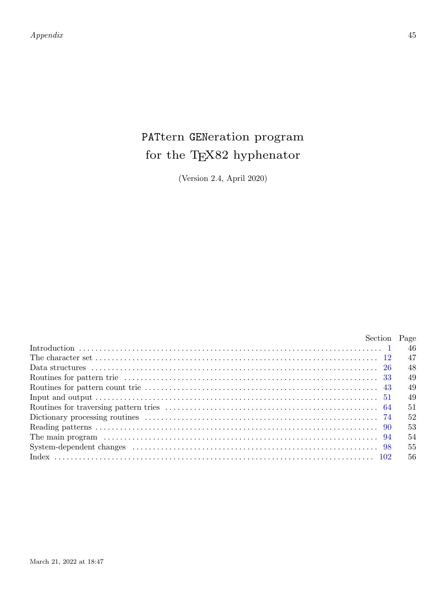*Appendix* 45

# PATtern GENeration program for the TEX82 hyphenator

(Version 2.4, April 2020)

| Section Page |      |
|--------------|------|
|              | - 46 |
|              | 47   |
|              | -48  |
|              | 49   |
|              | 49   |
|              | 49   |
|              | 51   |
|              | 52   |
|              | 53   |
|              | 54   |
|              | 55   |
|              | 56   |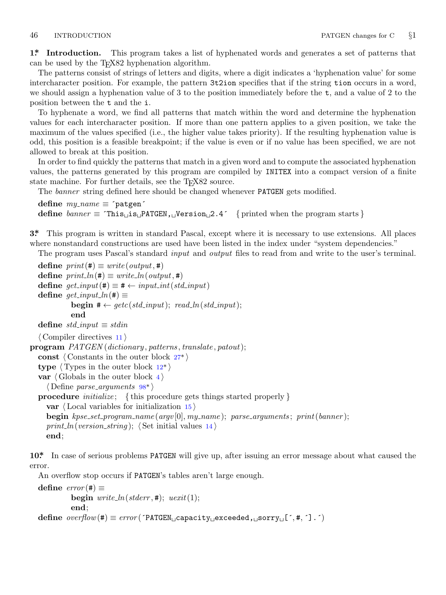<span id="page-1-0"></span>**1\*. Introduction.** This program takes a list of hyphenated words and generates a set of patterns that can be used by the T<sub>E</sub>X82 hyphenation algorithm.

The patterns consist of strings of letters and digits, where a digit indicates a 'hyphenation value' for some intercharacter position. For example, the pattern 3t2ion specifies that if the string tion occurs in a word, we should assign a hyphenation value of 3 to the position immediately before the  $t$ , and a value of 2 to the position between the t and the i.

To hyphenate a word, we find all patterns that match within the word and determine the hyphenation values for each intercharacter position. If more than one pattern applies to a given position, we take the maximum of the values specified (i.e., the higher value takes priority). If the resulting hyphenation value is odd, this position is a feasible breakpoint; if the value is even or if no value has been specified, we are not allowed to break at this position.

In order to find quickly the patterns that match in a given word and to compute the associated hyphenation values, the patterns generated by this program are compiled by INITEX into a compact version of a finite state machine. For further details, see the TFX82 source.

The *banner* string defined here should be changed whenever PATGEN gets modified.

```
define my name ≡ ´patgen´
define banner ≡ ´This␣is␣PATGEN,␣Version␣2.4´ { printed when the program starts }
```
**3\*.** This program is written in standard Pascal, except where it is necessary to use extensions. All places where nonstandard constructions are used have been listed in the index under "system dependencies."

The program uses Pascal's standard *input* and *output* files to read from and write to the user's terminal.

```
\text{define } print(\texttt{\#}) \equiv write(output, \texttt{\#})define print\_ln(\texttt{\#}) \equiv write\_ln(output, \texttt{\#})define get\_input (#) ≡ # ← input_int (std_input)
  \text{define} get\_input\_ln(\texttt{\#}) \equivbegin putread}\_\text{ln}(\text{std}\_\text{input});end
  \text{define } std\_input \equiv stdin⟨ Compiler directives 11 ⟩
program PATGEN (dictionary , patterns , translate , patout);
  const ⟨ Constants in the outer block 27* ⟩
  type \langle Types in the outer block 12^*var ⟨ Globals in the outer block 4 ⟩
     ⟨ Define parse arguments 98* ⟩
  procedure initialize ; { this procedure gets things started properly }
     var ⟨ Local variables for initialization 15 ⟩
     begin kpse set program name (argv [0], my name ); parse arguments ; print(banner );
     print\_ln(version\_string); \langle Set initial values 14 \rangleend;
```
**10\*.** In case of serious problems PATGEN will give up, after issuing an error message about what caused the error.

An overflow stop occurs if PATGEN's tables aren't large enough.

 $\text{define } error(\texttt{\#}) \equiv$ **begin**  $write\_ln(staterr, 1)$ ;  $uexit(1)$ ; **end**; **define** *overflow*(#) *≡ error* (´PATGEN␣capacity␣exceeded,␣sorry␣[´*,* #*,* ´].´)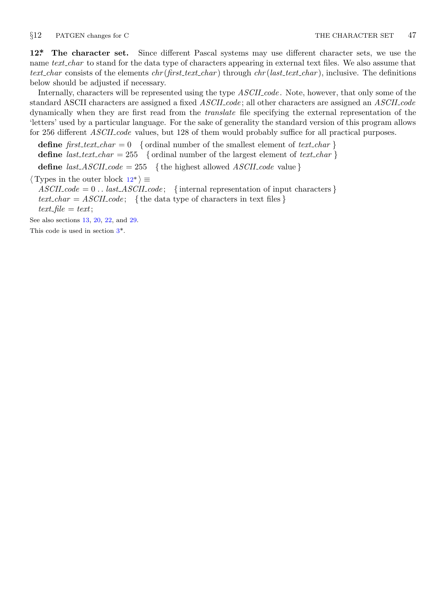<span id="page-2-0"></span>

**12\*. The character set.** Since different Pascal systems may use different character sets, we use the name *text char* to stand for the data type of characters appearing in external text files. We also assume that *text char* consists of the elements *chr* (*first text char* ) through *chr* (*last text char* ), inclusive. The definitions below should be adjusted if necessary.

Internally, characters will be represented using the type *ASCII code* . Note, however, that only some of the standard ASCII characters are assigned a fixed *ASCII code* ; all other characters are assigned an *ASCII code* dynamically when they are first read from the *translate* file specifying the external representation of the 'letters' used by a particular language. For the sake of generality the standard version of this program allows for 256 different *ASCII code* values, but 128 of them would probably suffice for all practical purposes.

**define**  $first\_text\_char = 0$  {ordinal number of the smallest element of  $text\_char }$ } **define**  $\text{last} \text{.} \text{text} \text{.} \text{char} = 255$  {ordinal number of the largest element of  $\text{text} \text{.} \text{char}$ } **[de](#page-1-0)fine**  $last\_ASCII\_code = 255$  {the highest allowed *ASCII\_code* value}

*⟨* Types in the outer block 12\* *⟩ ≡*

 $ASCIIcode = 0$ ... *last\_ASCII\_code*; {internal representation of input characters }  $text\_char = ASCII\_code;$  { the data type of characters in text files }  $text$  *file* = *text*;

See also sections 13, 20, 22, and 29.

This code is used in section 3\*.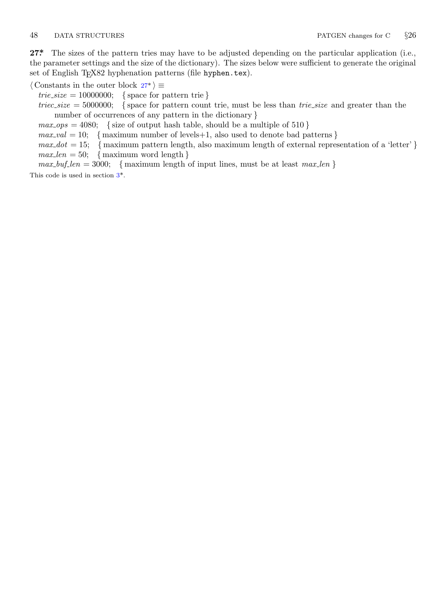<span id="page-3-0"></span>27<sup>\*</sup> The sizes of the pattern tries may have to be adjusted depending on the particular application (i.e., the parameter settings and the size of the dictionary). The sizes below were sufficient to generate the original set of English T<sub>E</sub>X82 hyphenation patterns (file hyphen.tex).

*⟨* Constants in the outer block 27\* *⟩ ≡*

 $trie\_size = 10000000;$  {space for pattern trie }

 *{ space for pattern count trie, must be less than <i>trie size* and greater than the number of occurr[e](#page-1-0)nces of any pattern in the dictionary *}*

 $max_{s} \geq 4080$ ; {size of output hash table, should be a multiple of 510 }

 $max_val = 10;$  {maximum number of levels+1, also used to denote bad patterns }

 $max\_dot = 15$ ; {maximum pattern length, also maximum length of external representation of a 'letter' }

 $max\_len = 50;$  {maximum word length }

 $max_buf\_len = 3000;$  { maximum length of input lines, must be at least  $max\_len$  }

This code is used in section 3\*.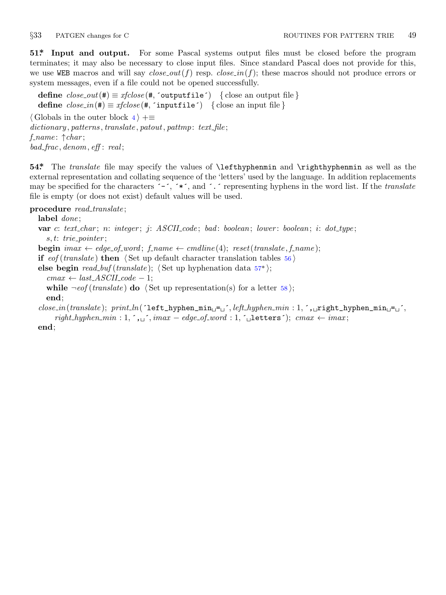<span id="page-4-0"></span>

**51\*. Input and output.** For some Pascal systems output files must be closed before the program terminates; it may also be necessary to close input files. Since standard Pascal does not provide for this, we use WEB macros and will say  $close\_out(f)$  resp.  $close\_in(f)$ ; these macros should not produce errors or system messages, even if a file could not be opened successfully.

**define**  $close\_out(\textbf{\#}) \equiv xfclose(\textbf{\#}, \text{'outputfile'})$  {close an output file } **define**  $close_in(\textbf{\#}) \equiv \text{xfclose}(\textbf{\#}, \text{'inputfile'})$  {close an input file } *⟨* Globals in the outer block 4 *⟩* +*≡ dictionary , patterns , translate , patout, pattmp*: *text file* ; *f name* : *↑char* ; *bad frac, denom, eff* : *real* ;

**54\*.** The *translate* file may specify the values of \lefthyphenmin and \righthyphenmin as well as the external representation and collating sequence of the 'letters' used by the language. In addition replacements may be specified for the characters ´−´, ´\*´, and ´.´ representing hyphens in the word list. If the *translate* file is empty (or does not exist) default values will be used.

### **procedure** *read translate* ;

**label** *done* ;

**var** *c*: *text char* ; *n*: *integer* ; *j*: *ASCII code* ; *bad* : *boolean*; *lower* : *boolean*; *i*: *dot type* ; *s, t*: *trie pointer* ; **begin**  ${imax \leftarrow edge\_of\_word; f\_name \leftarrow candidate(4); reset(translate, f\_name);}$ **if** *eof* (*translate* ) **then** *⟨* Set up default character translation tables 56 *⟩* **else begin** *read buf* (*translate* ); *⟨* Set up hyphenation data 57\* *⟩*;  $cmax \leftarrow last\_ASCII\_code - 1;$ **while**  $\neg \text{eof}$  (*translate*) **do**  $\langle$  Set up representation(s) for a letter 58 $\rangle$ ; **end**; *close in*(*translate* ); *print ln*(´left\_hyphen\_min␣=␣´*, left hyphen min* : 1*,* ´,␣right\_hyphen\_min␣=␣´*,*

 $right_hyphen_min: 1, \ldots, \ldots$ ;  ${max - edge_of_world: 1, \ldots}$ .  $l$  **etters´**);  $cmax \leftarrow imax;$ **end**;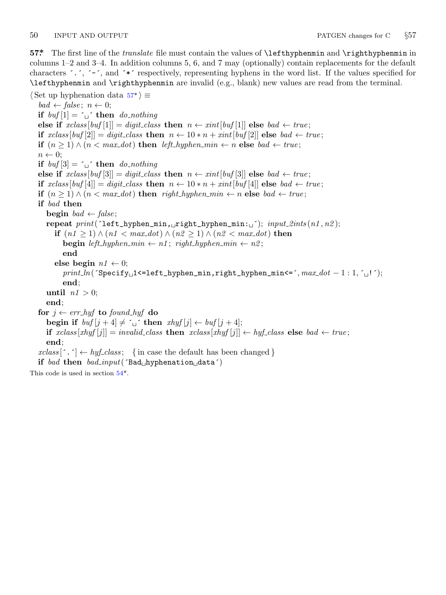<span id="page-5-0"></span>50 INPUT AND OUTPUT PATGEN changes for C *§*57

**57\*.** The first line of the *translate* file must contain the values of \lefthyphenmin and \righthyphenmin in columns 1–2 and 3–4. In addition columns 5, 6, and 7 may (optionally) contain replacements for the default characters ´.´, ´−´, and ´\*´ respectively, representing hyphens in the word list. If the values specified for \lefthyphenmin and \righthyphenmin are invalid (e.g., blank) new values are read from the terminal.

*⟨* Set up hyphenation data 57\* *⟩ ≡*  $bad \leftarrow false$ ;  $n \leftarrow 0$ ; **if**  $buf[1] = '□'$  **then** *do\_nothing* **else if**  $xclass[buf[1]] = digit\_class$  **then**  $n \leftarrow xint[buf[1]]$  **else**  $bad \leftarrow true;$ **if**  $xclass[buf[2]] = digit-class$  **then**  $n \leftarrow 10*n + xint[buf[2]]$  **else**  $bad \leftarrow true;$ **if**  $(n \geq 1) \land (n < max\_dot)$  **then** *left\_hyphen\_min*  $\leftarrow n$  **else** *bad*  $\leftarrow true$ ; *n ←* 0; **if**  $buf[3] = \iota_{\Box}$  **then** *do\_nothing* **else if**  $xclass[buf[3]] = digit-class$  **then**  $n \leftarrow xint[buf[3]]$  **else**  $bad \leftarrow true;$ **if**  $xclass[buf[4]] = digit-class$  **then**  $n \leftarrow 10 * n + xint[buf[4]]$  **else**  $bad \leftarrow true;$ **if**  $(n \geq 1) \land (n < max\_dot)$  **then**  $right\_hyphen\_min \leftarrow n$  **else**  $bad \leftarrow true;$ **if** *bad* **then begin**  $bad \leftarrow false$ ; **repeat**  $print('left\_hyphen\_min, _{i}right\_hyphen\_min: _{i}$ ; *input 2ints* (*n1*, *n2*); **if** (*n1 ≥* 1) *∧* (*n1 < max dot*) *∧* (*n2 ≥* 1) *∧* (*n2 < max dot*) **then begin**  $left\_hyphen\_min \leftarrow n1$ ;  $right\_hyphen\_min \leftarrow n2$ ; **end else begin**  $n1 \leftarrow 0$ ; *print ln*(´Specify␣1<=left\_hyphen\_min,right\_hyphen\_min<=´*, max dot −* 1 : 1*,* ´␣!´); **end**; **until**  $n! > 0$ ; **end**; **for** *j ← err hyf* **to** *fo[un](#page-4-0)d hyf* **do begin if**  $buf[j+4] \neq \lceil \lceil \lceil \cdot \rceil \rceil$  **then**  $xhyf[j] \leftarrow \lceil \lceil \lceil \cdot \rceil \rceil$ **if** *xclass* [*xhyf* [*j*]] = *invalid class* **then** *xclass* [*xhyf* [*j*]] *← hyf class* **else** *bad ← true* ; **end**;  $xclass$  [ $\cdot$   $\cdot$ ]  $\leftarrow$  *hyf<sub>-class*; {in case the default has been changed }</sub> **if** *bad* **then** *bad input*(´Bad␣hyphenation␣data´) This code is used in section 54\*.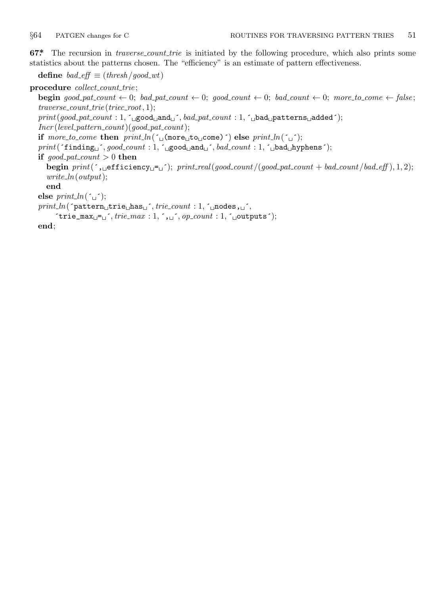<span id="page-6-0"></span>**67\*** The recursion in *traverse\_count\_trie* is initiated by the following procedure, which also prints some statistics about the patterns chosen. The "efficiency" is an estimate of pattern effectiveness.

**define** *bad\_eff*  $\equiv$  (*thresh /good\_wt*)

**procedure** *collect count trie* ;

**begin** good\_pat\_count  $\leftarrow 0$ ; bad\_pat\_count  $\leftarrow 0$ ; good\_count  $\leftarrow 0$ ; bad\_count  $\leftarrow 0$ ; more\_to\_come  $\leftarrow$  false; *traverse count trie* (*triec root,* 1);

*print*(*good pat count* : 1*,* ´␣good␣and␣´*, bad pat count* : 1*,* ´␣bad␣patterns␣added´); *Incr* (*level pattern count*)(*good pat count*);

**if**  $more_toj$  *come* **then**  $print\_ln(\uparrow \text{u} \text{ (more\_to\_come)} \uparrow)$  **else**  $print\_ln(\uparrow \text{u} \uparrow)$ ;

*print*(´finding␣´*, good count* : 1*,* ´␣good␣and␣´*, bad count* : 1*,* ´␣bad␣hyphens´);

**if**  $good\_pat\_count > 0$  **then** 

 $\begin{bmatrix} \text{begin}(f',\text{defficiency}=\text{I}^{\text{c}}),\text{partial}(g \text{)}=\text{I}^{\text{c}} \end{bmatrix}$ *write ln*(*output*);

**end**

```
else print\_ln(\lceil \frac{\cdot}{\cdot} \rceil);
```

```
print ln(´pattern␣trie␣has␣´, trie count : 1, ´␣nodes,␣´,
```

```
\text{`trie\_max}_\sqcup = \sqcup \text{`}, \text{trie\_max} : 1, \text{`}, \sqcup \text{`}, \text{op\_count} : 1, \text{`}, \sqcup \text{outputs'});
```

```
end;
```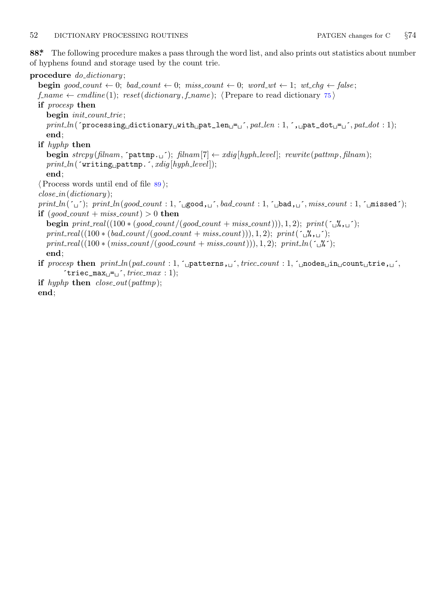### <span id="page-7-0"></span>52 DICTIONARY PROCESSING ROUTINES PATGEN changes for C *§*74

**88\*.** The following procedure makes a pass through the word list, and also prints out statistics about number of hyphens found and storage used by the count trie.

### **procedure** *do dictionary* ;

**begin**  $good_count \leftarrow 0$ ;  $bad_count \leftarrow 0$ ;  $miss_count \leftarrow 0$ ;  $word\_wt \leftarrow 1$ ;  $wt\_chg \leftarrow false$ ;  $f$ -*name*  $\leftarrow$  *cmdline*(1);  $reset(dictionary, f_name)$ ;  $\langle$  Prepare to read dictionary 75  $\rangle$ **if** *procesp* **then begin** *init count trie* ; *print ln*(´processing␣dictionary␣with␣pat\_len␣=␣´*, pat len* : 1*,* ´,␣pat\_dot␣=␣´*, pat dot* : 1); **end**; **if** *hyphp* **then begin**  $\text{strcpy}$  ( $\text{filnam}$ ,  $\text{f}$ **pattmp.** $\text{g}$ );  $\text{filnam}[7] \leftarrow \text{xdig}[\text{hyph-level}]$ ;  $\text{rewrite}(\text{pathp}, \text{filnam})$ ; *print ln*(´writing␣pattmp.´*, xdig* [*hyph level* ]); **end**; *⟨*Process words until end of file 89 *⟩*; *close in*(*dictionary* ); *print ln*(´␣´); *print ln*(*good count* : 1*,* ´␣good,␣´*, bad count* : 1*,* ´␣bad,␣´*, miss count* : 1*,* ´␣missed´); **if**  $(good\_count + miss\_count) > 0$  **then begin**  $print\_real((100 * (good_count/(good_count + miss_count))),$ , 1, 2);  $print(\neg\mathcal{X}, \Box))$ ;  $print\_real((100 * (bad\_count/(good\_count + miss\_count))), 1, 2); print(`\sqarrow",\sqcup'.);$  $print\_real((100 * (miss\_count / (good_count + miss_count))),$ , 1*,* 2);  $print\_ln('_0$ , 2); **end**; **if**  $\text{process } \text{then } \text{print\_ln}(\text{pat_count} : 1, \text{'\text{_\text{i}}\xspace, \text{if } \text{time} \xspace, \text{if } \text{time} \xspace, \text{if } \text{time} \xspace, \text{if } \text{time} \xspace, \text{if } \text{time} \xspace, \text{if } \text{time} \xspace, \text{if } \text{time} \xspace, \text{if } \text{time} \xspace, \text{if } \text{time} \xspace, \text{if } \text{time} \xspace, \text{if } \text{time} \xspace, \text{if } \text{time} \xspace, \text{if }$  $\text{`triec\_max}_{\sqcup} = \text{`}, \text{triec\_max} : 1);$ **if** *hyphp* **then** *close out*(*pattmp*);

**end**;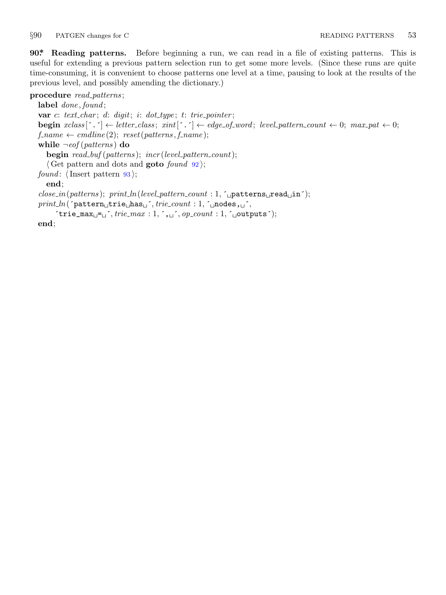<span id="page-8-0"></span>

**90\*. Reading patterns.** Before beginning a run, we can read in a file of existing patterns. This is useful for extending a previous pattern selection run to get some more levels. (Since these runs are quite time-consuming, it is convenient to choose patterns one level at a time, pausing to look at the results of the previous level, and possibly amending the dictionary.)

**procedure** *read patterns* ;

**label** *done , found* ; **var** *c*: *text char* ; *d*: *digit*; *i*: *dot type* ; *t*: *trie pointer* ; **begin**  $xclass$  [ $\cdot \cdot$ ]  $\leftarrow$  *letter\_class*;  $xint$  [ $\cdot \cdot$ ]  $\leftarrow$  *edge\_of\_word*; *level\_pattern\_count*  $\leftarrow 0$ ;  $max\_pat \leftarrow 0$ ;  $f$ *-name*  $\leftarrow$  *cmdline*(2);  $reset(patters, f_name);$ **while** *¬eof* (*patterns* ) **do begin** *read buf* (*patterns* ); *incr* (*level pattern count*); *⟨* Get pattern and dots and **goto** *found* 92 *⟩*; *found* : *⟨*Insert pattern 93 *⟩*; **end**; *close in*(*patterns* ); *print ln*(*level pattern count* : 1*,* ´␣patterns␣read␣in´);  $print\_ln($   $\lceil$   $pattern_\sqcup \text{trie}\_\text{has}\_\text{``}, \text{trie}\_\text{count}:$  1,  $\lceil \lceil \lceil \text{nodes}\rceil, \text{``}, \text{...''}$  $'$ trie\_max $_{\sqcup}$ = $_{\sqcup}$ '*, trie\_max* : 1, ',  $_{\sqcup}$ ', *op\_count* : 1, ' $_{\sqcup}$ outputs');

**end**;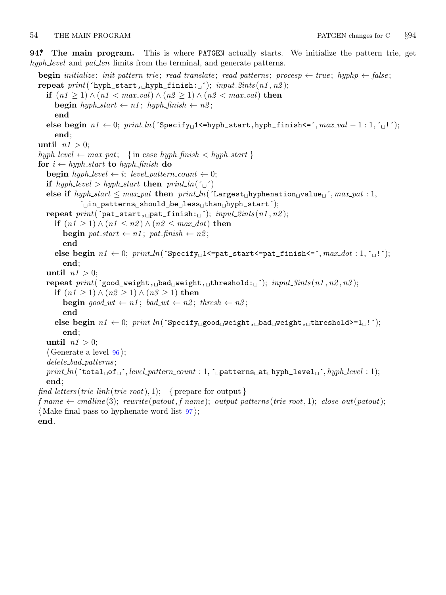#### <span id="page-9-0"></span>54 THE MAIN PROGRAM PATGEN changes for C *§*94

**94\*. The main program.** This is where PATGEN actually starts. We initialize the pattern trie, get *hyph level* and *pat len* limits from the terminal, and generate patterns.

**begin** *initialize*; *init\_pattern\_trie*; *read\_translate*; *read\_patterns*; *procesp*  $\leftarrow$  *true*; *hyphp*  $\leftarrow$  *false*; **repeat** *print*(´hyph\_start,␣hyph\_finish:␣´); *input 2ints* (*n1 , n2* ); **if**  $(n1 \ge 1) \land (n1 < max\_val) \land (n2 \ge 1) \land (n2 < max\_val)$  **then**  $\mathbf{begin} \mathbf{b} + \mathbf{b} + \mathbf{c}$  **hyph**  $\mathbf{b} + \mathbf{c} + \mathbf{c}$  *n2*; **end else begin**  $n1$  ← 0;  $print\_ln($  `Specify<sub>□</sub>1<=hyph\_start,hyph\_finish<=´,  $max\_val - 1 : 1,$  ´ $\lceil$ '); **end**; **until**  $n! > 0$ ; *hyph level ← max pat*; *{* in case *hyph finish < hyph start }* **for**  $i \leftarrow hyph\_start$  **to**  $hyph\_finish$  **do begin**  $h y ph \textit{level} \leftarrow i$ ;  $level\textit{pattern\_count} \leftarrow 0$ ; **if**  $h yph\_level > h yph\_start$  **then**  $print\_ln(^{\prime} \cup^{\prime})$  $\textbf{else if } \textit{hyph\_start} \leq \textit{max\_pat} \textbf{ then } \textit{print\_ln}(\text{`Largest\_hyphenation\_value\_{'}, \textit{max\_pat}: 1, }$ ´␣in␣patterns␣should␣be␣less␣than␣hyph\_start´); **repeat**  $print('pat\_start, \text{and\_finish: \textcolor{red}{\sqcup}}');$   $input\_2ints(n1, n2);$ **if** (*n1 ≥* 1) *∧* (*n1 ≤ n2* ) *∧* (*n2 ≤ max dot*) **then**  $\text{begin } p \text{at } \text{start} \leftarrow n1; \text{pat } \text{f} \text{in} \text{ish} \leftarrow n2;$ **end else begin**  $n1 \leftarrow 0$ ;  $print\ln('Specificly\_1;$ **end**; **until**  $n! > 0$ ; **repeat** *print*(´good␣weight,␣bad␣weight,␣threshold:␣´); *input 3ints* (*n1 , n2 , n3* ); **if** (*n1 ≥* 1) *∧* (*n2 ≥* 1) *∧* (*n3 ≥* 1) **then begin**  $good\_wt \leftarrow n1$ ;  $bad\_wt \leftarrow n2$ ;  $thresh \leftarrow n3$ ; **end else begin** *n1 ←* 0; *print ln*(´Specify␣good␣weight,␣bad␣weight,␣threshold>=1␣!´); **end**; **until**  $n! > 0$ ; *⟨* Generate a level 96 *⟩*; *delete bad patterns* ; *print ln*(´total␣of␣´*, level pattern count* : 1*,* ´␣patterns␣at␣hyph\_level␣´*, hyph level* : 1); **end**;  $find\_letters(trie\_link(trie\_root), 1);$  {prepare for output }  $f$ <sup> $\ldots$ *name*  $\leftarrow$  *cmdline*(3); *rewrite*( $\text{patout}, f$ <sup> $\ldots$ </sup>name); *output*<sub> $\text{patterns}}($ *trie\_root*, 1); *close\_out*( $\text{patout}}$ );</sup></sub> *⟨* Make final pass to hyphenate word list 97 *⟩*; **end**.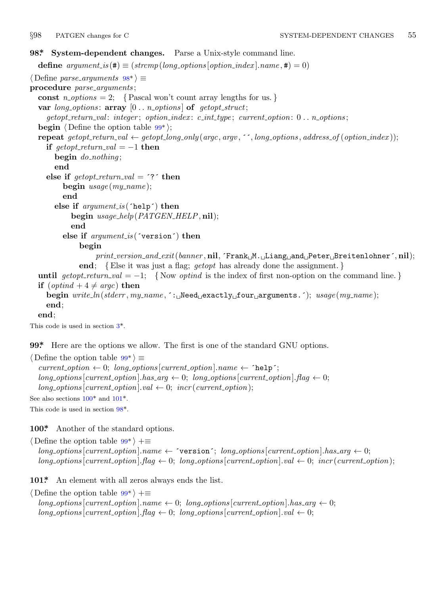<span id="page-10-0"></span>

## **98\*. System-dependent changes.** Parse a Unix-style command line.

**define**  $argument_is(\textbf{\#}) \equiv (stromp(long-options[option_index].name, \textbf{\#}) = 0)$ *⟨* Define *parse arguments* 98\* *⟩ ≡* **procedure** *parse arguments* ; const  $n\_options = 2$ ; {Pascal won't count array lengths for us.} **var** *long options* : **array** [0 *. . n options* ] **of** *getopt struct*; *getopt return val* : *integer* ; *option index* : *c int type* ; *current option*: 0 *. . n options* ; **begin**  $\langle$  Define the option table  $99^*$ ; **repeat** getopt\_return\_val  $\leftarrow$  getopt\_long\_only(argc, argv, '', long\_options, address\_of(option\_index)); **if**  $\text{get} \text{opt}\_\text{return}\_\text{val} = -1$  **then begin** *do nothing* ; **end else if**  $\text{getopt}\_\text{return}\_\text{val} =$   $\text{?}$  **then begin** *usage* (*my name* ); **end else if** *argument is* (´help´) **then begin** *usage help*(*PATGEN HELP,* **nil**); **end else if** *argument is* (´version´) **then begin** *print version and exit*(*banner ,* **nil***,* ´Frank␣M.␣Liang␣and␣Peter␣Breitenlohner´*,* **nil**); **end**; *{*E[ls](#page-1-0)e it was just a flag; *getopt* has already done the assignment. *}* **until**  $\text{getopt}\_\text{return\_val} = -1$ ;  $\{ \text{Now } \text{optind} \text{ is the index of first non-option on the command line. } \}$ **if**  $(\text{optind} + 4 \neq \text{argc})$  **then begin** *write ln*(*stderr , my name ,* ´:␣Need␣exactly␣four␣arguments.´); *usage* (*my name* ); **end**; **end**;

This code is used in section 3\*.

**99\*.** Here are the options we allow. The first is one of the standard GNU options.

*⟨* Define the option table 99\* *⟩ ≡*  $current\_option \leftarrow 0; long\_options[current\_option].name \leftarrow 'help';$  $long-options[current\_option].has_arg \leftarrow 0; long\_options[current\_option].flag \leftarrow 0;$  $long\_options[current\_option].val \leftarrow 0;$  *incr* (*current\_option*); See also sections  $100^*$  and  $101^*$ .

This code is used in section 98\*.

**100\*.** Another of the standard options.

*⟨* Define the option table 99\* *⟩* +*≡*  $long\_options[current\_option].name \leftarrow 'version'; long\_options[current\_option].has\_arg \leftarrow 0;$  $long\_options$  [current\_option].  $flag \leftarrow 0$ ;  $long\_options$  [current\_option].  $val \leftarrow 0$ ;  $incr$  (current\_option);

**101\*.** An element with all zeros always ends the list.

*⟨* Define the option table 99\* *⟩* +*≡*  $long-options$  [*current\_option*]*.name*  $\leftarrow 0$ ; *long\_options* [*current\_option*]*.has\_arg*  $\leftarrow 0$ ;  $long\_options[current\_option]$ *.* $flag \leftarrow 0$ ;  $long\_options[current\_option]$ *.val*  $\leftarrow 0$ ;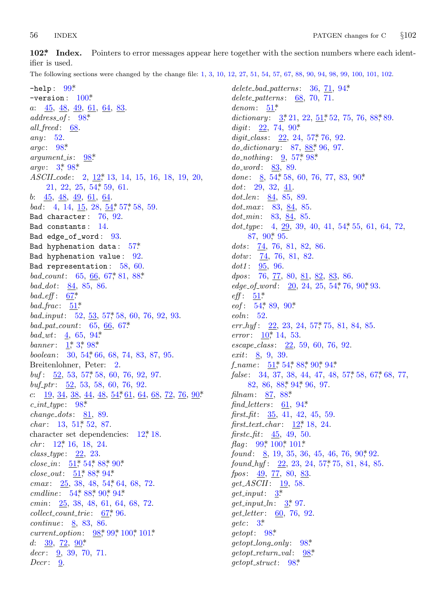<span id="page-11-0"></span>56 **INDEX** 

 $102$ \* Index. Pointers to error messages appear here together with the section numbers where each identifier is used.

The following sections were changed by the change file: 1, 3, 10, 12, 27, 51, 54, 57, 67, 88, 99, 94, 98, 99, 100, 101, 102.

 $-$ help:  $99*$  $-version: 100*$  $a: \underline{45}, \underline{48}, \underline{49}, \underline{61}, \underline{64}, \underline{83}.$  $address\_of: 98*$  $all\_fred: 68.$ any:  $52.$ argc:  $98^*$  $argument\_is$ :  $98*$ *argv*:  $3^{*}98^{*}$ *ASCIL code*: 2, 12<sup>\*</sup>, 13, 14, 15, 16, 18, 19, 20,  $21, 22, 25, 54, 59, 61.$ b:  $45, 48, 49, 61, 64$ . *bad*: 4, 14, <u>15</u>, 28,  $\frac{54}{57}$ , 57, 58, 59. Bad character:  $76, 92$ . Bad constants: 14. Bad edge\_of\_word: 93. Bad hyphenation data:  $57$ <sup>\*</sup> Bad hyphenation value:  $92$ . Bad representation:  $58, 60$ . bad\_count: 65, 66, 67, 81, 88\*  $bad\_dot: 84, 85, 86.$ bad\_eff:  $67^*$ bad\_frac:  $51^*$ bad\_input:  $52, 53, 57, 58, 60, 76, 92, 93$ .  $bad\_pat\_count: 65, 66, 67*$  $bad\_wt: 4, 65, 94*$ banner:  $1, 3, 98$ \* boolean: 30, 54, 66, 68, 74, 83, 87, 95. Breitenlohner, Peter: 2. buf:  $\frac{52}{53}$ , 53, 57, 58, 60, 76, 92, 97. buf\_ptr:  $\frac{52}{52}$ , 53, 58, 60, 76, 92. c:  $19, 34, 38, 44, 48, 54, 61, 64, 68, 72, 76, 90$ \*  $c\_int\_type: 98^*$  $change\_dots$ : 81, 89. *char*:  $13, 51, 52, 87.$ character set dependencies:  $12^*$ , 18.  $chr: 12^* 16, 18, 24.$  $class\_type: \quad 22, 23.$  $close_in: \frac{51}{54}$ , 54, 88, 90.  $close\_out: 51^*88^*94^*$  $cmax: 25, 38, 48, 54, 64, 68, 72.$ cmdline: 54, 88, 90, 94\* cmin: 25, 38, 48, 61, 64, 68, 72.  $collect_count\_trie: 67, 96.$ *continue*:  $8, 83, 86$ . *current\_option*:  $98$ <sup>\*</sup>,  $99$ <sup>\*</sup>,  $100$ <sup>\*</sup>,  $101$ <sup>\*</sup> d:  $39, 72, 90^*$  $decr: \quad 9, \, 39, \, 70, \, 71.$  $Decr: \quad 9.$ 

 $delete\_bad\_patterns: 36, 71, 94*$ delete\_patterns:  $68$ , 70, 71.  $denom: 51*$ dictionary:  $3, 21, 22, 51, 52, 75, 76, 88, 89$ . digit:  $22, 74, 90^*$ digit\_class:  $22, 24, 57, 76, 92$ .  $do\_dictionary: 87, 88, 96, 97.$  $do\_nothinging: 9, 57, 98$  $do\_word: 83, 89.$ done:  $8, 54, 58, 60, 76, 77, 83, 90$ \*  $dot: 29, 32, 41.$  $dot\_len: 84, 85, 89.$  $dot\_max$ : 83, 84, 85.  $dot\_min$ : 83, 84, 85.  $dot_type: 4, 29, 39, 40, 41, 54, 55, 61, 64, 72,$ 87, 90, 95.  $dots: 74, 76, 81, 82, 86.$  $dotw: \underline{74}$ , 76, 81, 82.  $dot1: \frac{95}{96}$ , 96. *dpos*: 76, 77, 80, 81, 82, 83, 86. *edge\_of\_word*:  $20, 24, 25, 54, 76, 90, 93$ .  $\textit{eff}: 51*$  $eof: 54, 89, 90$ \*  $\mathit{eoln}: 52.$  $err\_h yf$ :  $22, 23, 24, 57, 75, 81, 84, 85$ . error:  $10^*$  14, 53.  $escape\_class: \quad 22, 59, 60, 76, 92.$ *exit:*  $\frac{8}{9}$ , 9, 39.  $f_name: 51, 54, 88, 90, 94.$  $false: 34, 37, 38, 44, 47, 48, 57, 58, 67, 68, 77,$ 82, 86, 88, 94, 96, 97. filnam: 87, 88\* find letters:  $61, 94^*$ first\_fit:  $35, 41, 42, 45, 59$ .  $first\_text\_char: 12^*18, 24.$ firstc\_fit:  $45, 49, 50$ . *flag*:  $99^*$ ,  $100^*$ ,  $101^*$ found:  $8, 19, 35, 36, 45, 46, 76, 90, 92.$ found hyf:  $22, 23, 24, 57, 75, 81, 84, 85$ . fpos: 49, 77, 80, 83.  $qet\_ASCII: 19, 58.$  $get\_input:$  3\*  $get\_input\_ln: \frac{3}{2}, 97.$ *get\_letter*: 60, 76, 92.  $getc: 3^*$  $qetopt: 98*$  $getopt\_long\_only: 98*$  $getopt\_return\_val: 98*$  $getopt\_struct: 98*$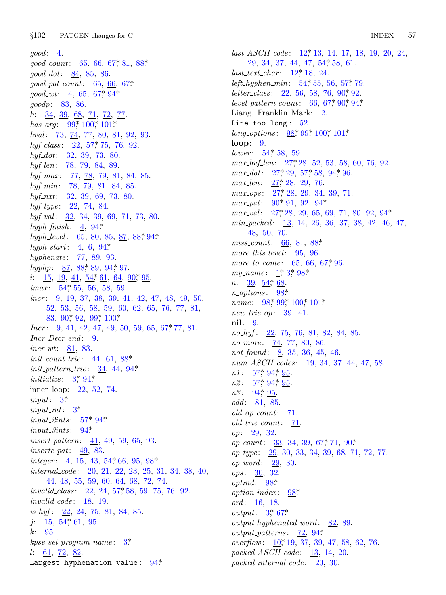$good: 4.$  $good_count: 65, 66, 67, 81, 88.$  $qood\_dot: 84, 85, 86.$  $good\_pat\_count: 65, 66, 67*$  $good\_wt: \quad 4, \quad 65, \quad 67, \quad 94$ \* goodp: 83, 86. *h*:  $\frac{34}{9}, \frac{39}{68}, \frac{68}{71}, \frac{72}{72}, \frac{77}{71}$ has\_arg:  $99^*$  100\* 101\* hval: 73, 74, 77, 80, 81, 92, 93. hyf\_class:  $22, 57, 75, 76, 92$ .  $h y f_4 dot: \frac{32}{2}, 39, 73, 80.$ hyf<sub>-</sub>len: 78, 79, 84, 89. hyf\_max: 77, 78, 79, 81, 84, 85. hyf<sub>-</sub>min:  $\frac{78}{5}$ , 79, 81, 84, 85.  $hyf_nxt: \frac{32}{39}, 39, 69, 73, 80.$  $hyf\_type: 22, 74, 84.$  $hyf\_val:$   $\frac{32}{2}, 34, 39, 69, 71, 73, 80.$ hyph\_finish:  $\underline{4}$ ,  $94$ \* hyph\_level: 65, 80, 85, 87, 88, 94\* hyph\_start:  $\frac{4}{3}$ , 6, 94\* *hyphenate*: 77, 89, 93. hyphp:  $87, 88, 89, 94, 97.$  $i: 15, 19, 41, 54, 61, 64, 90, 95.$ *imax*:  $54, 55, 56, 58, 59$ .  $incr$ : 9, 19, 37, 38, 39, 41, 42, 47, 48, 49, 50, 52, 53, 56, 58, 59, 60, 62, 65, 76, 77, 81, 83, 90, 92, 99, 100\* *Incr*: 9, 41, 42, 47, 49, 50, 59, 65, 67, 77, 81.  $Incr\_Decr\_end:$  9.  $\textit{incr\_wt}: \quad \underline{81}, \; 83.$ *init\_count\_trie*:  $44, 61, 88$ <sup>\*</sup>  $init\_pattern\_trie: \quad 34, 44, 94*$ *initialize:*  $3^*$   $94^*$ inner loop: 22, 52, 74.  $input: 3^*$  $input\_int:$  3\* *input\_2ints*:  $57^* 94^*$  $input_3ints: 94*$ *insert\_pattern:* 41, 49, 59, 65, 93.  $insertc\_pat: 49, 83.$ *integer*: 4, 15, 43, 54, 66, 95, 98. *internal\_code:* 20, 21, 22, 23, 25, 31, 34, 38, 40, 44, 48, 55, 59, 60, 64, 68, 72, 74.  $invalid_class: 22, 24, 57, 58, 59, 75, 76, 92.$  $invalid\_code: 18, 19.$  $is_{n}$  is  $-22, 24, 75, 81, 84, 85$ .  $j: \underline{15}, \underline{54}, \underline{61}, \underline{95}.$  $k: 95.$  $kpc\_set\_program\_name: 3*$  $l: 61, 72, 82.$ Largest hyphenation value:  $94*$ 

 $last\_ASCII\_code: \ \ 12, 13, 14, 17, 18, 19, 20, 24,$ 29, 34, 37, 44, 47, 54, 58, 61.  $last\_text\_char: 12^*18, 24.$ left\_hyphen\_min:  $54, 55, 56, 57, 79$ . *letter\_class:*  $22, 56, 58, 76, 90, 92.$ level\_pattern\_count:  $66, 67, 90, 94$ \* Liang, Franklin Mark: 2. Line too long:  $52$ . long\_options:  $98$ <sup>\*</sup>,  $99$ <sup>\*</sup>,  $100$ <sup>\*</sup>,  $101$ <sup>\*</sup> loop:  $9$ . *lower*:  $\frac{54}{7}$ , 58, 59.  $max_buf_-len: \quad 27, 28, 52, 53, 58, 60, 76, 92.$  $max\_dot:$   $\frac{27}{3}, 29, 57, 58, 94, 96.$  $max\_len: \quad 27, 28, 29, 76.$  $max_{.}ops: \quad 27, 28, 29, 34, 39, 71.$  $max\_pat: 90, 91, 92, 94.$  $max_val: 27, 28, 29, 65, 69, 71, 80, 92, 94*$  $min\_packet$ d:  $13, 14, 26, 36, 37, 38, 42, 46, 47,$  $48, 50, 70.$ *miss\_count:* 66, 81, 88\* more\_this\_level:  $95, 96$ . more\_to\_come: 65, 66, 67,\* 96. my\_name:  $1^*3^*98^*$  $n: 39, 54, 68.$  $n\_options: 98*$ *name*:  $98$ <sup>\*</sup>,  $99$ <sup>\*</sup>,  $100$ <sup>\*</sup>,  $101$ <sup>\*</sup>  $new\_trie\_op: 39, 41.$ nil: 9.  $no_{{}_{1}}\,f$ : 22, 75, 76, 81, 82, 84, 85. *no-more*:  $\frac{74}{7}$ , 77, 80, 86. not\_found:  $8, 35, 36, 45, 46.$  $num\_ASCII\_codes: \underline{19}, 34, 37, 44, 47, 58.$  $n1: 57, 94, 95$ .  $n2: 57^* 94^* 95.$  $n3: 94$ <sup>\*</sup> 95. odd: 81, 85.  $old\_op\_count: 71$ .  $old\_trie\_count: 71.$ op: 29, 32. *op\_count:*  $\frac{33}{33}$ , 34, 39, 67, 71, 90\* op\_type: 29, 30, 33, 34, 39, 68, 71, 72, 77. *op\_word*:  $29, 30$ . ops: 30, 32.  $optind: 98^*$  $option\_index: 98*$ ord: 16, 18. *output*:  $3^{*}$  67\*  $output\_hyphended\_word:$  82, 89. *output\_patterns*:  $\overline{22}$ , 94\* overflow:  $\underline{10}$ \* 19, 37, 39, 47, 58, 62, 76.  $packet \_\text{ASCII-code:}$  13, 14, 20.

 $packet\_internal\_code: 20, 30.$ 

#### **INDEX** 57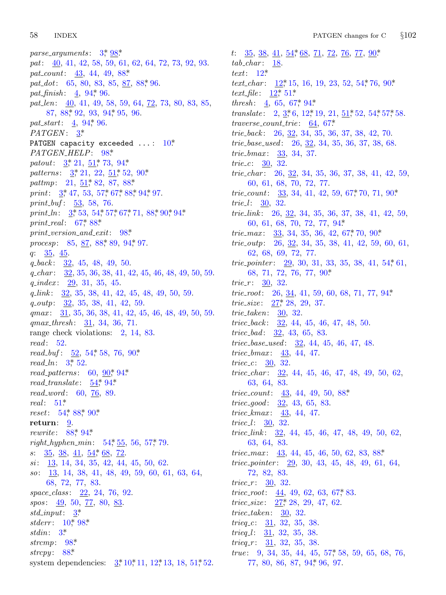58 **INDEX** 

parse\_arguments:  $3, \frac{98}{3}$ pat:  $\underline{40}$ , 41, 42, 58, 59, 61, 62, 64, 72, 73, 92, 93. pat\_count:  $43, 44, 49, 88*$ pat\_dot: 65, 80, 83, 85, 87, 88\* 96. *pat\_finish*:  $\frac{4}{5}$ , 94, 96. pat\_len:  $\underline{40}$ , 41, 49, 58, 59, 64, 72, 73, 80, 83, 85,  $87, 88, 92, 93, 94, 95, 96$ pat\_start:  $4, 94, 96$ .  $PATGEN: 3^*$ PATGEN capacity exceeded  $\dots: 10^*$ PATGEN\_HELP: 98\* patout:  $3, 21, 51, 73, 94$ \* patterns:  $3, 21, 22, 51, 52, 90$ \* pattmp:  $21, 51, 82, 87, 88$ \* *print*:  $\frac{3}{2}$ , 47, 53, 57, 67, 88, 94, 97. print\_buf:  $\frac{53}{53}$ , 58, 76. print\_ln:  $3, 53, 54, 57, 67, 71, 88, 90, 94$ \* print\_real:  $67,88$ \*  $print\_version\_and\_exit:$  98\* procesp:  $85, 87, 88, 89, 94, 97.$  $q: \frac{35}{2}, \frac{45}{2}.$  $q_{\text{.}}$  back:  $\frac{32}{32}$ , 45, 48, 49, 50.  $q_{\text{}}char:$  32, 35, 36, 38, 41, 42, 45, 46, 48, 49, 50, 59.  $q\_index: \quad 29, \; 31, \; 35, \; 45.$  $q\_link:$  32, 35, 38, 41, 42, 45, 48, 49, 50, 59.  $q_{0}$  *q*  $\sqrt{2}$   $\sqrt{32}$ , 35, 38, 41, 42, 59.  $qmax: \quad 31, 35, 36, 38, 41, 42, 45, 46, 48, 49, 50, 59.$  $qmax_{\text{}}thresh: 31, 34, 36, 71.$ range check violations:  $2, 14, 83$ .  $read: 52.$ *read\_buf*:  $\underline{52}$ , 54\*, 58, 76, 90\*  $read\_ln: 3^*$  52.  $read\_patterns: 60, 90, 94$ \* read\_translate:  $54^*$  94\*  $read\_word: 60, 76, 89.$ real:  $51^*$  $reset: 54, 88, 90.$ return: 9. *rewrite*:  $88^*$  94\* right\_hyphen\_min:  $54, 55, 56, 57, 79$ .  $s: \frac{35}{38}, \frac{38}{41}, \frac{54}{58}, \frac{68}{72}.$  $si: \quad 13, 14, 34, 35, 42, 44, 45, 50, 62.$  $so: \quad 13, 14, 38, 41, 48, 49, 59, 60, 61, 63, 64,$ 68, 72, 77, 83.  $space\_class: 22, 24, 76, 92.$ *spos*: 49, 50, 77, 80, 83.  $std\_input:$  3\* *stderr*:  $10^*$  98\* stdin:  $3^*$ strcmp:  $98*$ strcpy:  $88^*$ 

system dependencies:  $3, 10, 11, 12, 13, 18, 51, 52$ .

t:  $35, 38, 41, 54, 68, 71, 72, 76, 77, 90$  $tab\_char: 18.$ text:  $12^*$ *text\_char:*  $12$ <sup>\*</sup>, 15, 16, 19, 23, 52, 54<sup>\*</sup>, 76, 90<sup>\*</sup> *text\_file*:  $12^*$ , 51\* *thresh*:  $\frac{4}{5}$ , 65, 67<sup>\*</sup>, 94<sup>\*</sup> *translate*:  $2, \underline{3}, 6, 12, 19, 21, \underline{51}, 52, 54, 57, 58.$  $traverse\_count\_trie: 64, 67*$ trie\_back:  $26, 32, 34, 35, 36, 37, 38, 42, 70.$ *trie\_base\_used:* 26, 32, 34, 35, 36, 37, 38, 68. *trie\_bmax*:  $33, 34, 37$ . *trie\_c*:  $30, 32$ . *trie\_char:* 26,  $32$ , 34, 35, 36, 37, 38, 41, 42, 59, 60, 61, 68, 70, 72, 77. *trie\_count*:  $\frac{33}{34}$ , 41, 42, 59, 67, 70, 71, 90\* *trie\_l*:  $30, 32$ . trie\_link:  $26, 32, 34, 35, 36, 37, 38, 41, 42, 59,$ 60, 61, 68, 70, 72, 77, 94\* *trie\_max:*  $\frac{33}{33}$ , 34, 35, 36, 42, 67, 70, 90\* *trie\_outp*:  $26, 32, 34, 35, 38, 41, 42, 59, 60, 61,$ 62, 68, 69, 72, 77. *trie\_pointer*:  $29, 30, 31, 33, 35, 38, 41, 54, 61,$ 68, 71, 72, 76, 77, 90\* *trie\_r*:  $30, 32$ . *trie\_root*: 26,  $34$ , 41, 59, 60, 68, 71, 77, 94\* *trie\_size*:  $27$ <sup>\*</sup>, 28, 29, 37. trie\_taken:  $\frac{30}{32}$ . triec<sub>back</sub>:  $32, 44, 45, 46, 47, 48, 50.$ *triec\_bad*:  $32, 43, 65, 83$ . *triec\_base\_used:*  $\frac{32}{32}$ , 44, 45, 46, 47, 48. *triec\_bmax*:  $43, 44, 47$ . *triec\_c*:  $30, 32$ . *triec\_char:*  $32, 44, 45, 46, 47, 48, 49, 50, 62,$ 63, 64, 83. *triec\_count*:  $\frac{43}{43}$ , 44, 49, 50, 88\* *triec\_good*:  $\underline{32}$ , 43, 65, 83.  $triec_{kmax}: 43, 44, 47.$ *triec.l:*  $30, 32.$ *triec\_link*:  $\frac{32}{44}$ , 44, 45, 46, 47, 48, 49, 50, 62,  $63, 64, 83.$ *triec\_max:*  $43, 44, 45, 46, 50, 62, 83, 88*$ *triec\_pointer*:  $29, 30, 43, 45, 48, 49, 61, 64,$ 72, 82, 83. *triec\_r*:  $30, 32$ . *triec\_root*:  $44, 49, 62, 63, 67, 83$ . triec\_size:  $27^*28$ , 29, 47, 62. triec\_taken:  $\frac{30}{32}$ . *trieq.c*:  $31, 32, 35, 38$ . *trieq.l:*  $31, 32, 35, 38.$ *trieq.r*:  $\frac{31}{32}$ , 32, 35, 38. *true*:  $9, 34, 35, 44, 45, 57, 58, 59, 65, 68, 76,$ 77, 80, 86, 87, 94, 96, 97.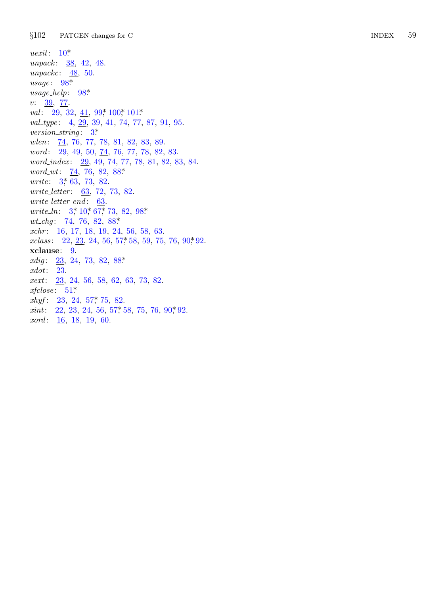$§102$ PATGEN changes for  $\mathrm C$ 

 $\textit{uexit}: 10^*$ unpack:  $\frac{38}{12}$ , 42, 48. unpackc:  $\frac{48}{50}$ .  $usage: 98*$  $usage\_help: 98*$  $v: \frac{39}{77}.$ val: 29, 32,  $\underline{41}$ , 99, 100, 101\* val\_type: 4,  $\overline{29}$ , 39, 41, 74, 77, 87, 91, 95. version\_string:  $3^*$ wlen: 74, 76, 77, 78, 81, 82, 83, 89. *word*:  $29, 49, 50, 74, 76, 77, 78, 82, 83.$ word\_index: 29, 49, 74, 77, 78, 81, 82, 83, 84.  $word\_wt: 74, 76, 82, 88*$ *urite:*  $3, 63, 73, 82$ . *write\_letter:* 63, 72, 73, 82.  $write\_letter\_end$ : 63. *write\_ln:*  $3, 10, 67, 73, 82, 98$ \* *wt\_chg*:  $\frac{74}{7}$ , 76, 82, 88\*  $xchr: \underline{16}$ , 17, 18, 19, 24, 56, 58, 63.  $xclass:$  22, 23, 24, 56, 57, 58, 59, 75, 76, 90, 92.  $xclause: 9.$ *xdig*:  $23, 24, 73, 82, 88*$  $xdot: 23.$  $xext: 23, 24, 56, 58, 62, 63, 73, 82.$  $xfclose: 51*$  $xhyf: \underline{23}, 24, 57, 75, 82.$  $xint: 22, 23, 24, 56, 57, 58, 75, 76, 90, 92.$  $xord: 16, 18, 19, 60.$ 

59 **INDEX**